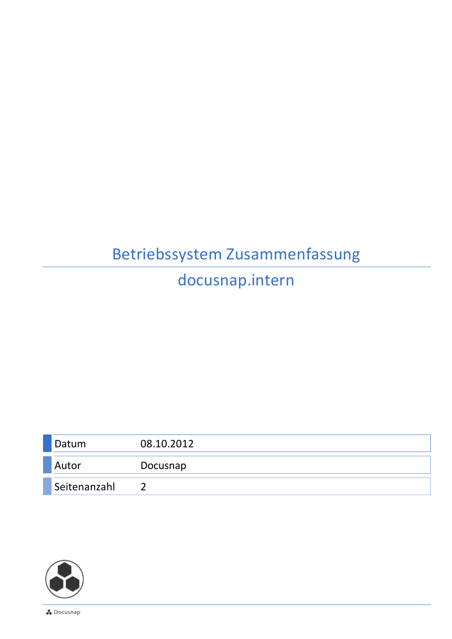## Betriebssystem Zusammenfassung

## docusnap.intern

| Datum        | 08.10.2012 |
|--------------|------------|
| Autor        | Docusnap   |
| Seitenanzahl |            |